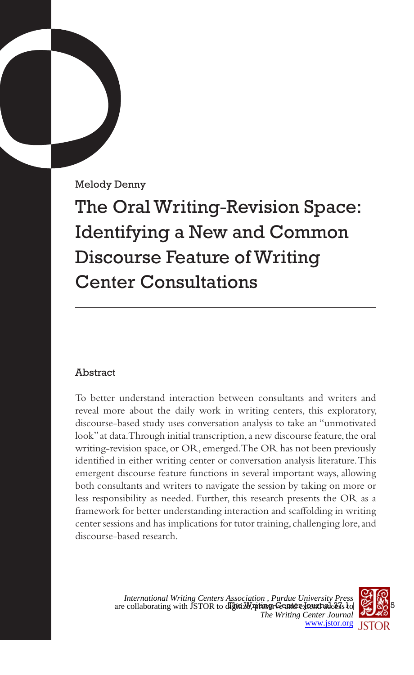Melody Denny

The Oral Writing-Revision Space: Identifying a New and Common Discourse Feature of Writing Center Consultations

# Abstract

To better understand interaction between consultants and writers and reveal more about the daily work in writing centers, this exploratory, discourse-based study uses conversation analysis to take an "unmotivated look" at data. Through initial transcription, a new discourse feature, the oral writing-revision space, or OR, emerged. The OR has not been previously identified in either writing center or conversation analysis literature. This emergent discourse feature functions in several important ways, allowing both consultants and writers to navigate the session by taking on more or less responsibility as needed. Further, this research presents the OR as a framework for better understanding interaction and scaffolding in writing center sessions and has implications for tutor training, challenging lore, and discourse-based research.

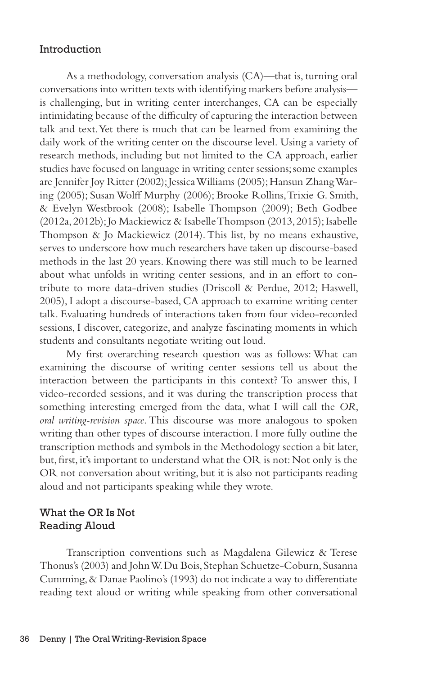## Introduction

As a methodology, conversation analysis (CA)—that is, turning oral conversations into written texts with identifying markers before analysis is challenging, but in writing center interchanges, CA can be especially intimidating because of the difficulty of capturing the interaction between talk and text. Yet there is much that can be learned from examining the daily work of the writing center on the discourse level. Using a variety of research methods, including but not limited to the CA approach, earlier studies have focused on language in writing center sessions; some examples are Jennifer Joy Ritter (2002); Jessica Williams (2005); Hansun Zhang Waring (2005); Susan Wolff Murphy (2006); Brooke Rollins, Trixie G. Smith, & Evelyn Westbrook (2008); Isabelle Thompson (2009); Beth Godbee (2012a, 2012b); Jo Mackiewicz & Isabelle Thompson (2013, 2015); Isabelle Thompson & Jo Mackiewicz (2014). This list, by no means exhaustive, serves to underscore how much researchers have taken up discourse-based methods in the last 20 years. Knowing there was still much to be learned about what unfolds in writing center sessions, and in an effort to contribute to more data-driven studies (Driscoll & Perdue, 2012; Haswell, 2005), I adopt a discourse-based, CA approach to examine writing center talk. Evaluating hundreds of interactions taken from four video-recorded sessions, I discover, categorize, and analyze fascinating moments in which students and consultants negotiate writing out loud.

My first overarching research question was as follows: What can examining the discourse of writing center sessions tell us about the interaction between the participants in this context? To answer this, I video-recorded sessions, and it was during the transcription process that something interesting emerged from the data, what I will call the *OR*, *oral writing-revision space*. This discourse was more analogous to spoken writing than other types of discourse interaction. I more fully outline the transcription methods and symbols in the Methodology section a bit later, but, first, it's important to understand what the OR is not: Not only is the OR not conversation about writing, but it is also not participants reading aloud and not participants speaking while they wrote.

# What the OR Is Not Reading Aloud

Transcription conventions such as Magdalena Gilewicz & Terese Thonus's (2003) and John W. Du Bois, Stephan Schuetze-Coburn, Susanna Cumming, & Danae Paolino's (1993) do not indicate a way to differentiate reading text aloud or writing while speaking from other conversational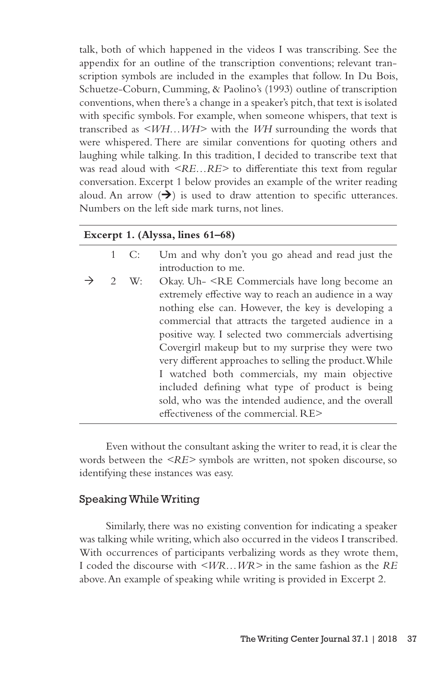talk, both of which happened in the videos I was transcribing. See the appendix for an outline of the transcription conventions; relevant transcription symbols are included in the examples that follow. In Du Bois, Schuetze-Coburn, Cumming, & Paolino's (1993) outline of transcription conventions, when there's a change in a speaker's pitch, that text is isolated with specific symbols. For example, when someone whispers, that text is transcribed as *<WH…WH>* with the *WH* surrounding the words that were whispered. There are similar conventions for quoting others and laughing while talking. In this tradition, I decided to transcribe text that was read aloud with *<RE…RE>* to differentiate this text from regular conversation. Excerpt 1 below provides an example of the writer reading aloud. An arrow  $(\rightarrow)$  is used to draw attention to specific utterances. Numbers on the left side mark turns, not lines.

|   |               | Excerpt 1. (Alyssa, lines 61-68)                                                                                                                                                                                                                                                                                                                                                                                                                                                                                                                                                                                                |
|---|---------------|---------------------------------------------------------------------------------------------------------------------------------------------------------------------------------------------------------------------------------------------------------------------------------------------------------------------------------------------------------------------------------------------------------------------------------------------------------------------------------------------------------------------------------------------------------------------------------------------------------------------------------|
|   | $1 \quad C$ : | Um and why don't you go ahead and read just the<br>introduction to me.                                                                                                                                                                                                                                                                                                                                                                                                                                                                                                                                                          |
| 2 | W:            | Okay. Uh- <re an<br="" become="" commercials="" have="" long="">extremely effective way to reach an audience in a way<br/>nothing else can. However, the key is developing a<br/>commercial that attracts the targeted audience in a<br/>positive way. I selected two commercials advertising<br/>Covergirl makeup but to my surprise they were two<br/>very different approaches to selling the product. While<br/>I watched both commercials, my main objective<br/>included defining what type of product is being<br/>sold, who was the intended audience, and the overall<br/>effectiveness of the commercial. RE&gt;</re> |

Even without the consultant asking the writer to read, it is clear the words between the *<RE>* symbols are written, not spoken discourse, so identifying these instances was easy.

#### Speaking While Writing

Similarly, there was no existing convention for indicating a speaker was talking while writing, which also occurred in the videos I transcribed. With occurrences of participants verbalizing words as they wrote them, I coded the discourse with *<WR…WR>* in the same fashion as the *RE* above. An example of speaking while writing is provided in Excerpt 2.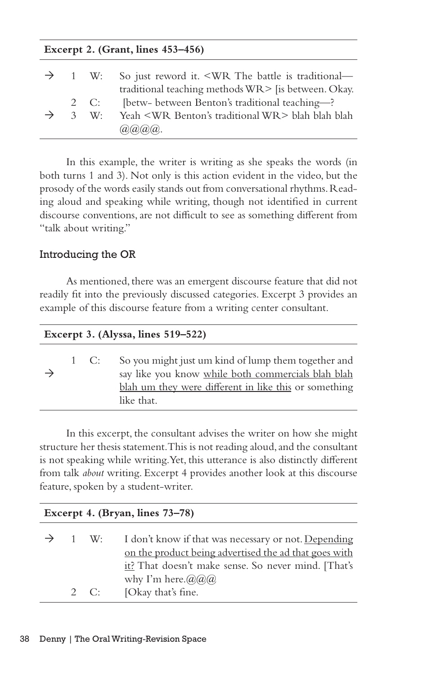| Excerpt 2. (Grant, lines $453-456$ ) |              |                                                                                                                                                 |  |  |
|--------------------------------------|--------------|-------------------------------------------------------------------------------------------------------------------------------------------------|--|--|
|                                      |              | $\rightarrow$ 1 W: So just reword it. <wr battle="" is="" the="" traditional—<br="">traditional teaching methods WR&gt; [is between. Okay.</wr> |  |  |
|                                      | $2 \quad C:$ | [betw- between Benton's traditional teaching-?                                                                                                  |  |  |
|                                      |              | 3 W: Yeah <wr benton's="" traditional="" wr=""> blah blah blah<br/><math>(a)(a)(a)(a)</math>.</wr>                                              |  |  |

In this example, the writer is writing as she speaks the words (in both turns 1 and 3). Not only is this action evident in the video, but the prosody of the words easily stands out from conversational rhythms. Reading aloud and speaking while writing, though not identified in current discourse conventions, are not difficult to see as something different from "talk about writing."

# Introducing the OR

As mentioned, there was an emergent discourse feature that did not readily fit into the previously discussed categories. Excerpt 3 provides an example of this discourse feature from a writing center consultant.

| Excerpt 3. (Alyssa, lines $519-522$ ) |  |      |                                                                                                                                                                                  |  |  |
|---------------------------------------|--|------|----------------------------------------------------------------------------------------------------------------------------------------------------------------------------------|--|--|
|                                       |  | 1 C: | So you might just um kind of lump them together and<br>say like you know while both commercials blah blah<br>blah um they were different in like this or something<br>like that. |  |  |

In this excerpt, the consultant advises the writer on how she might structure her thesis statement. This is not reading aloud, and the consultant is not speaking while writing. Yet, this utterance is also distinctly different from talk *about* writing. Excerpt 4 provides another look at this discourse feature, spoken by a student-writer.

| Excerpt 4. (Bryan, lines 73-78) |                                    |                                                                                                                                                                                                                      |  |  |
|---------------------------------|------------------------------------|----------------------------------------------------------------------------------------------------------------------------------------------------------------------------------------------------------------------|--|--|
|                                 | $\rightarrow$ 1 W:<br>$2 \quad C:$ | I don't know if that was necessary or not. Depending<br>on the product being advertised the ad that goes with<br>it? That doesn't make sense. So never mind. [That's<br>why I'm here. $(a/a)a$<br>[Okay that's fine. |  |  |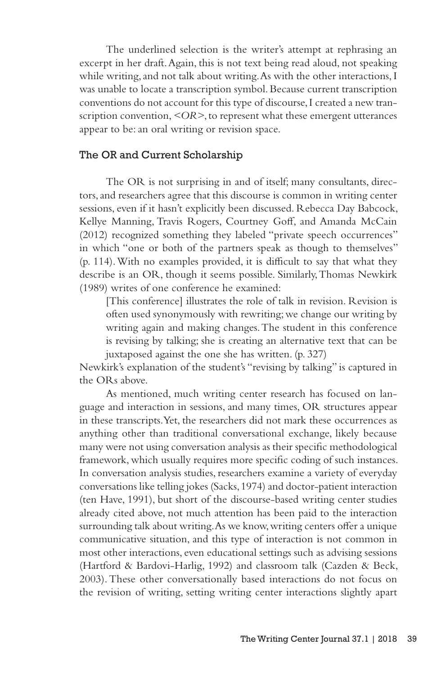The underlined selection is the writer's attempt at rephrasing an excerpt in her draft. Again, this is not text being read aloud, not speaking while writing, and not talk about writing. As with the other interactions, I was unable to locate a transcription symbol. Because current transcription conventions do not account for this type of discourse, I created a new transcription convention, *<OR>*, to represent what these emergent utterances appear to be: an oral writing or revision space.

## The OR and Current Scholarship

The OR is not surprising in and of itself; many consultants, directors, and researchers agree that this discourse is common in writing center sessions, even if it hasn't explicitly been discussed. Rebecca Day Babcock, Kellye Manning, Travis Rogers, Courtney Goff, and Amanda McCain (2012) recognized something they labeled "private speech occurrences" in which "one or both of the partners speak as though to themselves" (p. 114). With no examples provided, it is difficult to say that what they describe is an OR, though it seems possible. Similarly, Thomas Newkirk (1989) writes of one conference he examined:

[This conference] illustrates the role of talk in revision. Revision is often used synonymously with rewriting; we change our writing by writing again and making changes. The student in this conference is revising by talking; she is creating an alternative text that can be juxtaposed against the one she has written. (p. 327)

Newkirk's explanation of the student's "revising by talking" is captured in the ORs above.

As mentioned, much writing center research has focused on language and interaction in sessions, and many times, OR structures appear in these transcripts. Yet, the researchers did not mark these occurrences as anything other than traditional conversational exchange, likely because many were not using conversation analysis as their specific methodological framework, which usually requires more specific coding of such instances. In conversation analysis studies, researchers examine a variety of everyday conversations like telling jokes (Sacks, 1974) and doctor-patient interaction (ten Have, 1991), but short of the discourse-based writing center studies already cited above, not much attention has been paid to the interaction surrounding talk about writing. As we know, writing centers offer a unique communicative situation, and this type of interaction is not common in most other interactions, even educational settings such as advising sessions (Hartford & Bardovi-Harlig, 1992) and classroom talk (Cazden & Beck, 2003). These other conversationally based interactions do not focus on the revision of writing, setting writing center interactions slightly apart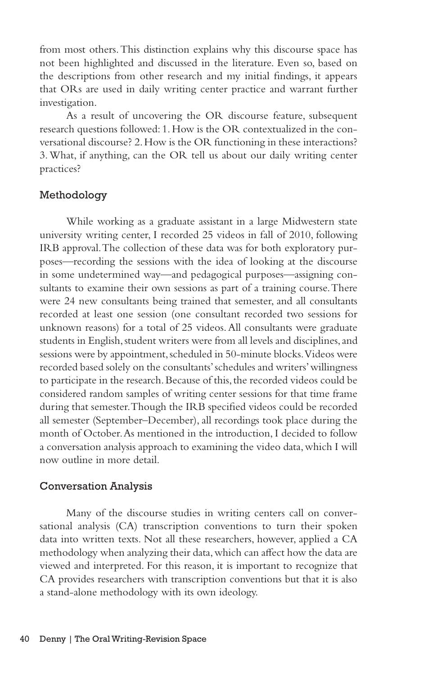from most others. This distinction explains why this discourse space has not been highlighted and discussed in the literature. Even so, based on the descriptions from other research and my initial findings, it appears that ORs are used in daily writing center practice and warrant further investigation.

As a result of uncovering the OR discourse feature, subsequent research questions followed: 1. How is the OR contextualized in the conversational discourse? 2. How is the OR functioning in these interactions? 3. What, if anything, can the OR tell us about our daily writing center practices?

## Methodology

While working as a graduate assistant in a large Midwestern state university writing center, I recorded 25 videos in fall of 2010, following IRB approval. The collection of these data was for both exploratory purposes—recording the sessions with the idea of looking at the discourse in some undetermined way—and pedagogical purposes—assigning consultants to examine their own sessions as part of a training course. There were 24 new consultants being trained that semester, and all consultants recorded at least one session (one consultant recorded two sessions for unknown reasons) for a total of 25 videos. All consultants were graduate students in English, student writers were from all levels and disciplines, and sessions were by appointment, scheduled in 50-minute blocks. Videos were recorded based solely on the consultants' schedules and writers' willingness to participate in the research. Because of this, the recorded videos could be considered random samples of writing center sessions for that time frame during that semester. Though the IRB specified videos could be recorded all semester (September–December), all recordings took place during the month of October. As mentioned in the introduction, I decided to follow a conversation analysis approach to examining the video data, which I will now outline in more detail.

#### Conversation Analysis

Many of the discourse studies in writing centers call on conversational analysis (CA) transcription conventions to turn their spoken data into written texts. Not all these researchers, however, applied a CA methodology when analyzing their data, which can affect how the data are viewed and interpreted. For this reason, it is important to recognize that CA provides researchers with transcription conventions but that it is also a stand-alone methodology with its own ideology.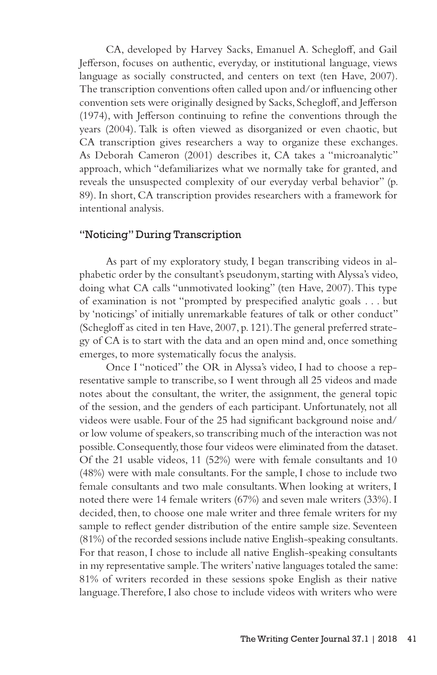CA, developed by Harvey Sacks, Emanuel A. Schegloff, and Gail Jefferson, focuses on authentic, everyday, or institutional language, views language as socially constructed, and centers on text (ten Have, 2007). The transcription conventions often called upon and/or influencing other convention sets were originally designed by Sacks, Schegloff, and Jefferson (1974), with Jefferson continuing to refine the conventions through the years (2004). Talk is often viewed as disorganized or even chaotic, but CA transcription gives researchers a way to organize these exchanges. As Deborah Cameron (2001) describes it, CA takes a "microanalytic" approach, which "defamiliarizes what we normally take for granted, and reveals the unsuspected complexity of our everyday verbal behavior" (p. 89). In short, CA transcription provides researchers with a framework for intentional analysis.

## "Noticing" During Transcription

As part of my exploratory study, I began transcribing videos in alphabetic order by the consultant's pseudonym, starting with Alyssa's video, doing what CA calls "unmotivated looking" (ten Have, 2007). This type of examination is not "prompted by prespecified analytic goals . . . but by 'noticings' of initially unremarkable features of talk or other conduct" (Schegloff as cited in ten Have, 2007, p. 121). The general preferred strategy of CA is to start with the data and an open mind and, once something emerges, to more systematically focus the analysis.

Once I "noticed" the OR in Alyssa's video, I had to choose a representative sample to transcribe, so I went through all 25 videos and made notes about the consultant, the writer, the assignment, the general topic of the session, and the genders of each participant. Unfortunately, not all videos were usable. Four of the 25 had significant background noise and/ or low volume of speakers, so transcribing much of the interaction was not possible. Consequently, those four videos were eliminated from the dataset. Of the 21 usable videos, 11 (52%) were with female consultants and 10 (48%) were with male consultants. For the sample, I chose to include two female consultants and two male consultants. When looking at writers, I noted there were 14 female writers (67%) and seven male writers (33%). I decided, then, to choose one male writer and three female writers for my sample to reflect gender distribution of the entire sample size. Seventeen (81%) of the recorded sessions include native English-speaking consultants. For that reason, I chose to include all native English-speaking consultants in my representative sample. The writers' native languages totaled the same: 81% of writers recorded in these sessions spoke English as their native language. Therefore, I also chose to include videos with writers who were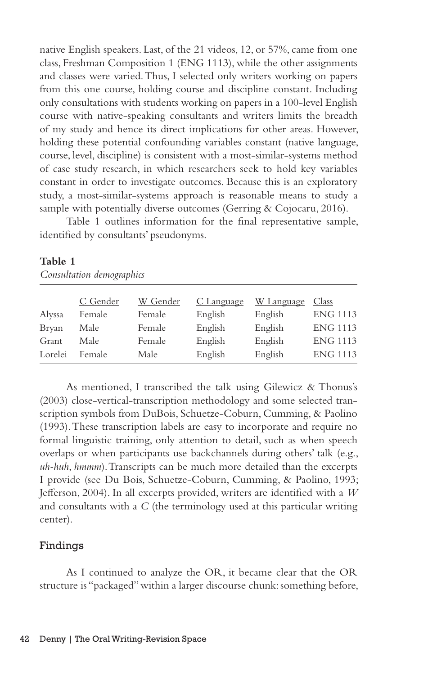native English speakers. Last, of the 21 videos, 12, or 57%, came from one class, Freshman Composition 1 (ENG 1113), while the other assignments and classes were varied. Thus, I selected only writers working on papers from this one course, holding course and discipline constant. Including only consultations with students working on papers in a 100-level English course with native-speaking consultants and writers limits the breadth of my study and hence its direct implications for other areas. However, holding these potential confounding variables constant (native language, course, level, discipline) is consistent with a most-similar-systems method of case study research, in which researchers seek to hold key variables constant in order to investigate outcomes. Because this is an exploratory study, a most-similar-systems approach is reasonable means to study a sample with potentially diverse outcomes (Gerring & Cojocaru, 2016).

Table 1 outlines information for the final representative sample, identified by consultants' pseudonyms.

|         | C Gender | W Gender | C Language | W Language | Class           |
|---------|----------|----------|------------|------------|-----------------|
| Alyssa  | Female   | Female   | English    | English    | <b>ENG 1113</b> |
| Bryan   | Male     | Female   | English    | English    | <b>ENG 1113</b> |
| Grant   | Male     | Female   | English    | English    | <b>ENG 1113</b> |
| Lorelei | Female   | Male     | English    | English    | <b>ENG 1113</b> |

## **Table 1**

*Consultation demographics*

As mentioned, I transcribed the talk using Gilewicz & Thonus's (2003) close-vertical-transcription methodology and some selected transcription symbols from DuBois, Schuetze-Coburn, Cumming, & Paolino (1993). These transcription labels are easy to incorporate and require no formal linguistic training, only attention to detail, such as when speech overlaps or when participants use backchannels during others' talk (e.g., *uh-huh*, *hmmm*). Transcripts can be much more detailed than the excerpts I provide (see Du Bois, Schuetze-Coburn, Cumming, & Paolino, 1993; Jefferson, 2004). In all excerpts provided, writers are identified with a *W* and consultants with a *C* (the terminology used at this particular writing center).

# Findings

As I continued to analyze the OR, it became clear that the OR structure is "packaged" within a larger discourse chunk: something before,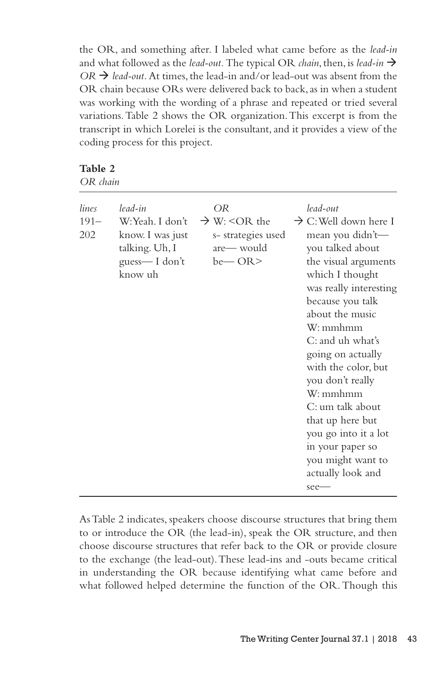the OR, and something after. I labeled what came before as the *lead-in* and what followed as the *lead-out.* The typical OR *chain*, then, is *lead-in*   $OR \rightarrow$  *lead-out.* At times, the lead-in and/or lead-out was absent from the OR chain because ORs were delivered back to back, as in when a student was working with the wording of a phrase and repeated or tried several variations. Table 2 shows the OR organization. This excerpt is from the transcript in which Lorelei is the consultant, and it provides a view of the coding process for this project.

# **Table 2**

*OR chain*

| lines<br>$191 -$<br>202 | lead-in<br>W:Yeah. I don't<br>know. I was just<br>talking. Uh, I<br>guess-I don't<br>know uh | OR<br>$\rightarrow$ W: <or the<br="">s-strategies used<br/>are— would<br/><math>be</math>— OR&gt;</or> | lead-out<br>$\rightarrow$ C: Well down here I<br>mean you didn't-<br>you talked about<br>the visual arguments<br>which I thought<br>was really interesting<br>because you talk<br>about the music<br>W: mmhmm<br>C: and uh what's<br>going on actually<br>with the color, but<br>you don't really<br>W:mmhmm<br>C: um talk about<br>that up here but<br>you go into it a lot<br>in your paper so<br>you might want to<br>actually look and<br>$see-$ |
|-------------------------|----------------------------------------------------------------------------------------------|--------------------------------------------------------------------------------------------------------|------------------------------------------------------------------------------------------------------------------------------------------------------------------------------------------------------------------------------------------------------------------------------------------------------------------------------------------------------------------------------------------------------------------------------------------------------|
|-------------------------|----------------------------------------------------------------------------------------------|--------------------------------------------------------------------------------------------------------|------------------------------------------------------------------------------------------------------------------------------------------------------------------------------------------------------------------------------------------------------------------------------------------------------------------------------------------------------------------------------------------------------------------------------------------------------|

As Table 2 indicates, speakers choose discourse structures that bring them to or introduce the OR (the lead-in), speak the OR structure, and then choose discourse structures that refer back to the OR or provide closure to the exchange (the lead-out). These lead-ins and -outs became critical in understanding the OR because identifying what came before and what followed helped determine the function of the OR. Though this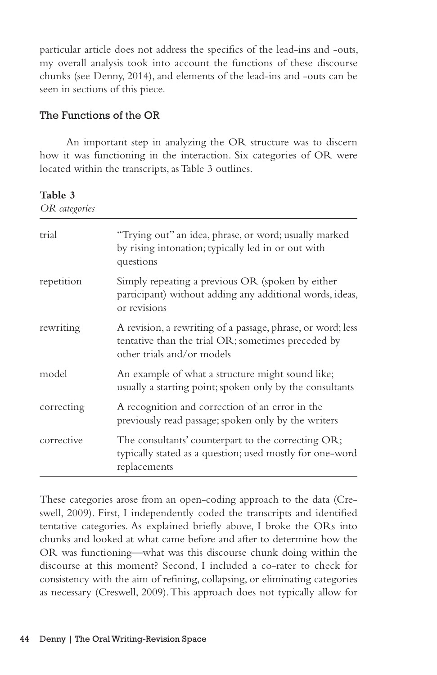particular article does not address the specifics of the lead-ins and -outs, my overall analysis took into account the functions of these discourse chunks (see Denny, 2014), and elements of the lead-ins and -outs can be seen in sections of this piece.

## The Functions of the OR

An important step in analyzing the OR structure was to discern how it was functioning in the interaction. Six categories of OR were located within the transcripts, as Table 3 outlines.

**Table 3**

| OR categories |                                                                                                                                                 |  |  |  |
|---------------|-------------------------------------------------------------------------------------------------------------------------------------------------|--|--|--|
| trial         | "Trying out" an idea, phrase, or word; usually marked<br>by rising intonation; typically led in or out with<br>questions                        |  |  |  |
| repetition    | Simply repeating a previous OR (spoken by either<br>participant) without adding any additional words, ideas,<br>or revisions                    |  |  |  |
| rewriting     | A revision, a rewriting of a passage, phrase, or word; less<br>tentative than the trial OR; sometimes preceded by<br>other trials and/or models |  |  |  |
| model         | An example of what a structure might sound like;<br>usually a starting point; spoken only by the consultants                                    |  |  |  |
| correcting    | A recognition and correction of an error in the<br>previously read passage; spoken only by the writers                                          |  |  |  |
| corrective    | The consultants' counterpart to the correcting OR;<br>typically stated as a question; used mostly for one-word<br>replacements                  |  |  |  |

These categories arose from an open-coding approach to the data (Creswell, 2009). First, I independently coded the transcripts and identified tentative categories. As explained briefly above, I broke the ORs into chunks and looked at what came before and after to determine how the OR was functioning—what was this discourse chunk doing within the discourse at this moment? Second, I included a co-rater to check for consistency with the aim of refining, collapsing, or eliminating categories as necessary (Creswell, 2009). This approach does not typically allow for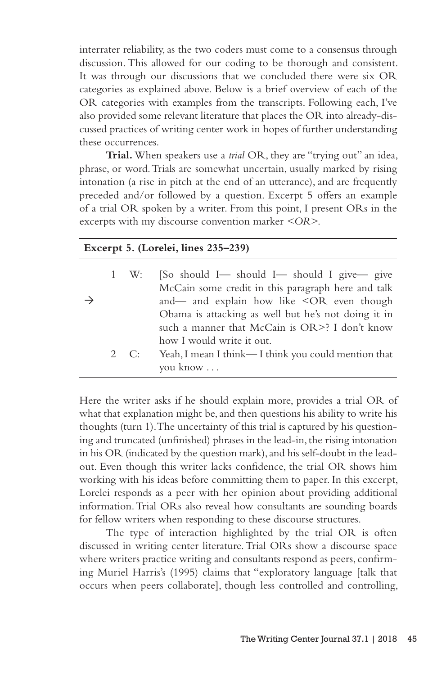interrater reliability, as the two coders must come to a consensus through discussion. This allowed for our coding to be thorough and consistent. It was through our discussions that we concluded there were six OR categories as explained above. Below is a brief overview of each of the OR categories with examples from the transcripts. Following each, I've also provided some relevant literature that places the OR into already-discussed practices of writing center work in hopes of further understanding these occurrences.

**Trial.** When speakers use a *trial* OR, they are "trying out" an idea, phrase, or word. Trials are somewhat uncertain, usually marked by rising intonation (a rise in pitch at the end of an utterance), and are frequently preceded and/or followed by a question. Excerpt 5 offers an example of a trial OR spoken by a writer. From this point, I present ORs in the excerpts with my discourse convention marker *<OR>*.

#### **Excerpt 5. (Lorelei, lines 235–239)**

|               | 1 W: | [So should I is should I should I give give                  |
|---------------|------|--------------------------------------------------------------|
|               |      | McCain some credit in this paragraph here and talk           |
| $\rightarrow$ |      | and— and explain how like <or even="" td="" though<=""></or> |
|               |      | Obama is attacking as well but he's not doing it in          |
|               |      | such a manner that McCain is OR>? I don't know               |
|               |      | how I would write it out.                                    |
|               | 2 C: | Yeah, I mean I think—I think you could mention that          |
|               |      | you know                                                     |

Here the writer asks if he should explain more, provides a trial OR of what that explanation might be, and then questions his ability to write his thoughts (turn 1). The uncertainty of this trial is captured by his questioning and truncated (unfinished) phrases in the lead-in, the rising intonation in his OR (indicated by the question mark), and his self-doubt in the leadout. Even though this writer lacks confidence, the trial OR shows him working with his ideas before committing them to paper. In this excerpt, Lorelei responds as a peer with her opinion about providing additional information. Trial ORs also reveal how consultants are sounding boards for fellow writers when responding to these discourse structures.

The type of interaction highlighted by the trial OR is often discussed in writing center literature. Trial ORs show a discourse space where writers practice writing and consultants respond as peers, confirming Muriel Harris's (1995) claims that "exploratory language [talk that occurs when peers collaborate], though less controlled and controlling,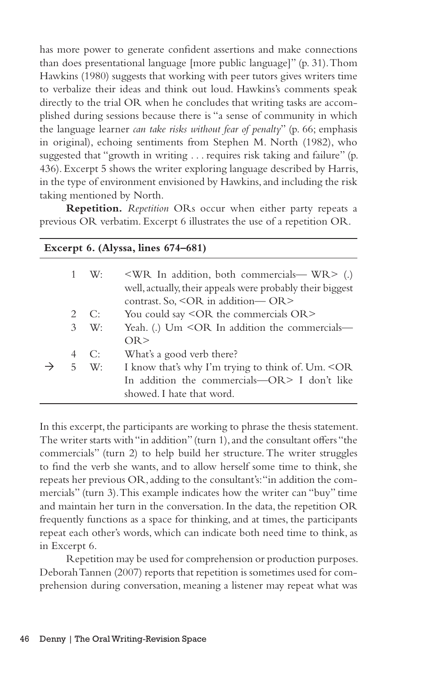has more power to generate confident assertions and make connections than does presentational language [more public language]" (p. 31). Thom Hawkins (1980) suggests that working with peer tutors gives writers time to verbalize their ideas and think out loud. Hawkins's comments speak directly to the trial OR when he concludes that writing tasks are accomplished during sessions because there is "a sense of community in which the language learner *can take risks without fear of penalty*" (p. 66; emphasis in original), echoing sentiments from Stephen M. North (1982), who suggested that "growth in writing . . . requires risk taking and failure" (p. 436). Excerpt 5 shows the writer exploring language described by Harris, in the type of environment envisioned by Hawkins, and including the risk taking mentioned by North.

**Repetition.** *Repetition* ORs occur when either party repeats a previous OR verbatim. Excerpt 6 illustrates the use of a repetition OR.

| Excerpt 6. (Alyssa, lines 674-681) |              |                                                                                                                                                                                |  |  |
|------------------------------------|--------------|--------------------------------------------------------------------------------------------------------------------------------------------------------------------------------|--|--|
|                                    | 1 W:         | $\langle \text{WR} \rangle$ In addition, both commercials— WR $>$ (.)<br>well, actually, their appeals were probably their biggest<br>contrast. So, $\leq$ OR in addition— OR> |  |  |
|                                    | $2 \quad C:$ | You could say <or commercials="" or="" the=""></or>                                                                                                                            |  |  |
|                                    | $3 \quad W:$ | Yeah. (.) Um $\leq$ OR In addition the commercials—<br>OR                                                                                                                      |  |  |
| 4                                  | C:           | What's a good verb there?                                                                                                                                                      |  |  |
|                                    | $5 \quad W:$ | I know that's why I'm trying to think of. Um. <or<br>In addition the commercials—OR&gt; I don't like<br/>showed. I hate that word.</or<br>                                     |  |  |

In this excerpt, the participants are working to phrase the thesis statement. The writer starts with "in addition" (turn 1), and the consultant offers "the commercials" (turn 2) to help build her structure. The writer struggles to find the verb she wants, and to allow herself some time to think, she repeats her previous OR, adding to the consultant's: "in addition the commercials" (turn 3). This example indicates how the writer can "buy" time and maintain her turn in the conversation. In the data, the repetition OR frequently functions as a space for thinking, and at times, the participants repeat each other's words, which can indicate both need time to think, as in Excerpt 6.

Repetition may be used for comprehension or production purposes. Deborah Tannen (2007) reports that repetition is sometimes used for comprehension during conversation, meaning a listener may repeat what was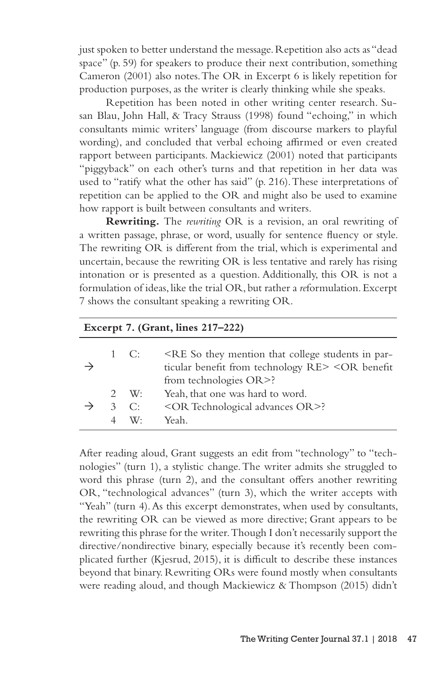just spoken to better understand the message. Repetition also acts as "dead space" (p. 59) for speakers to produce their next contribution, something Cameron (2001) also notes. The OR in Excerpt 6 is likely repetition for production purposes, as the writer is clearly thinking while she speaks.

Repetition has been noted in other writing center research. Susan Blau, John Hall, & Tracy Strauss (1998) found "echoing," in which consultants mimic writers' language (from discourse markers to playful wording), and concluded that verbal echoing affirmed or even created rapport between participants. Mackiewicz (2001) noted that participants "piggyback" on each other's turns and that repetition in her data was used to "ratify what the other has said" (p. 216). These interpretations of repetition can be applied to the OR and might also be used to examine how rapport is built between consultants and writers.

**Rewriting.** The *rewriting* OR is a revision, an oral rewriting of a written passage, phrase, or word, usually for sentence fluency or style. The rewriting OR is different from the trial, which is experimental and uncertain, because the rewriting OR is less tentative and rarely has rising intonation or is presented as a question. Additionally, this OR is not a formulation of ideas, like the trial OR, but rather a *re*formulation. Excerpt 7 shows the consultant speaking a rewriting OR.

| Excerpt 7. (Grant, lines 217-222) |                          |                                                                                                                                                                           |  |  |
|-----------------------------------|--------------------------|---------------------------------------------------------------------------------------------------------------------------------------------------------------------------|--|--|
|                                   | 1 C:                     | <re college="" in="" mention="" par-<br="" so="" students="" that="" they="">ticular benefit from technology RE&gt; <or benefit<br="">from technologies OR&gt;?</or></re> |  |  |
| 2                                 | W:<br>$3 \quad C:$<br>W· | Yeah, that one was hard to word.<br><or advances="" or="" technological="">?<br/>Yeah</or>                                                                                |  |  |

After reading aloud, Grant suggests an edit from "technology" to "technologies" (turn 1), a stylistic change. The writer admits she struggled to word this phrase (turn 2), and the consultant offers another rewriting OR, "technological advances" (turn 3), which the writer accepts with "Yeah" (turn 4). As this excerpt demonstrates, when used by consultants, the rewriting OR can be viewed as more directive; Grant appears to be rewriting this phrase for the writer. Though I don't necessarily support the directive/nondirective binary, especially because it's recently been complicated further (Kjesrud, 2015), it is difficult to describe these instances beyond that binary. Rewriting ORs were found mostly when consultants were reading aloud, and though Mackiewicz & Thompson (2015) didn't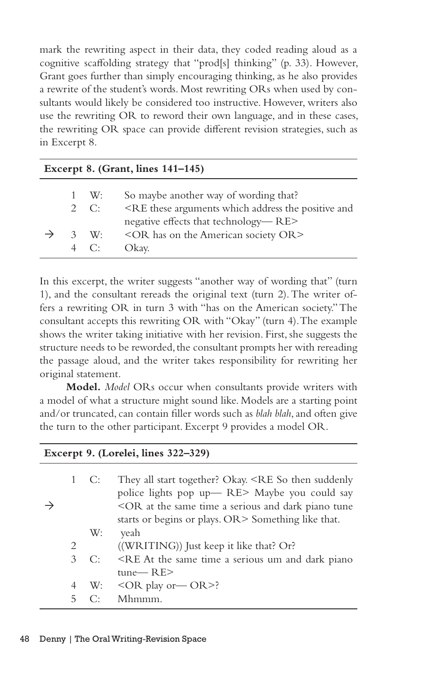mark the rewriting aspect in their data, they coded reading aloud as a cognitive scaffolding strategy that "prod[s] thinking" (p. 33). However, Grant goes further than simply encouraging thinking, as he also provides a rewrite of the student's words. Most rewriting ORs when used by consultants would likely be considered too instructive. However, writers also use the rewriting OR to reword their own language, and in these cases, the rewriting OR space can provide different revision strategies, such as in Excerpt 8.

| Excerpt 8. (Grant, lines $141-145$ ) |              |                                                                                      |  |  |
|--------------------------------------|--------------|--------------------------------------------------------------------------------------|--|--|
|                                      | $1 \quad W:$ | So maybe another way of wording that?                                                |  |  |
|                                      | $2 \quad C$  | <re address="" and<="" arguments="" positive="" td="" the="" these="" which=""></re> |  |  |
|                                      |              | negative effects that technology—RE>                                                 |  |  |
|                                      | $3 \quad W$  | <or american="" has="" on="" or="" society="" the=""></or>                           |  |  |
|                                      | $4 \quad C$  | Okay.                                                                                |  |  |

In this excerpt, the writer suggests "another way of wording that" (turn 1), and the consultant rereads the original text (turn 2). The writer offers a rewriting OR in turn 3 with "has on the American society." The consultant accepts this rewriting OR with "Okay" (turn 4). The example shows the writer taking initiative with her revision. First, she suggests the structure needs to be reworded, the consultant prompts her with rereading the passage aloud, and the writer takes responsibility for rewriting her original statement.

**Model.** *Model* ORs occur when consultants provide writers with a model of what a structure might sound like. Models are a starting point and/or truncated, can contain filler words such as *blah blah*, and often give the turn to the other participant. Excerpt 9 provides a model OR.

| $\text{EXECerpt } 9.$ (Loreiei, lines $322 - 329$ ) |             |                                                                                                                                                                                                                                                                          |  |  |
|-----------------------------------------------------|-------------|--------------------------------------------------------------------------------------------------------------------------------------------------------------------------------------------------------------------------------------------------------------------------|--|--|
|                                                     | 1 C:        | They all start together? Okay. <re so="" suddenly<br="" then="">police lights pop up-RE&gt; Maybe you could say<br/><or a="" and="" at="" dark="" piano="" same="" serious="" the="" time="" tune<br="">starts or begins or plays. OR&gt; Something like that.</or></re> |  |  |
|                                                     | W:          | veah                                                                                                                                                                                                                                                                     |  |  |
| 2                                                   |             | ((WRITING)) Just keep it like that? Or?                                                                                                                                                                                                                                  |  |  |
| 3                                                   | $C^{\star}$ | <re a="" and="" at="" dark="" piano<="" same="" serious="" td="" the="" time="" um=""></re>                                                                                                                                                                              |  |  |
|                                                     |             | $tune$ RE $>$                                                                                                                                                                                                                                                            |  |  |
| 4                                                   |             | W: $\langle$ OR play or $\sim$ OR >?                                                                                                                                                                                                                                     |  |  |
| 5.                                                  | ⊖⊵          | Mhmmm.                                                                                                                                                                                                                                                                   |  |  |

**Excerpt 9. (Lorelei, lines 322–329)**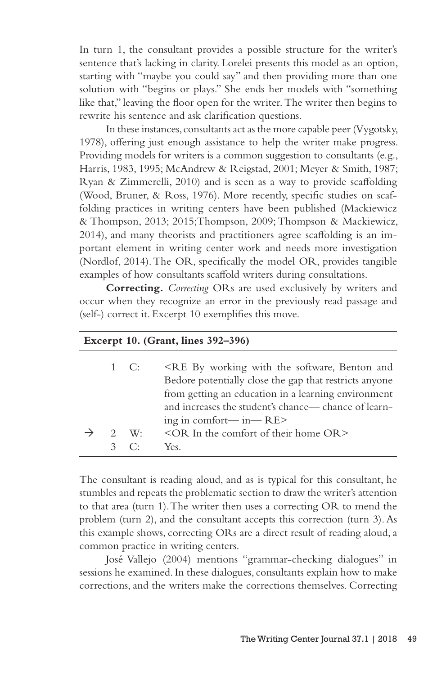In turn 1, the consultant provides a possible structure for the writer's sentence that's lacking in clarity. Lorelei presents this model as an option, starting with "maybe you could say" and then providing more than one solution with "begins or plays." She ends her models with "something like that," leaving the floor open for the writer. The writer then begins to rewrite his sentence and ask clarification questions.

In these instances, consultants act as the more capable peer (Vygotsky, 1978), offering just enough assistance to help the writer make progress. Providing models for writers is a common suggestion to consultants (e.g., Harris, 1983, 1995; McAndrew & Reigstad, 2001; Meyer & Smith, 1987; Ryan & Zimmerelli, 2010) and is seen as a way to provide scaffolding (Wood, Bruner, & Ross, 1976). More recently, specific studies on scaffolding practices in writing centers have been published (Mackiewicz & Thompson, 2013; 2015;Thompson, 2009; Thompson & Mackiewicz, 2014), and many theorists and practitioners agree scaffolding is an important element in writing center work and needs more investigation (Nordlof, 2014). The OR, specifically the model OR, provides tangible examples of how consultants scaffold writers during consultations.

**Correcting.** *Correcting* ORs are used exclusively by writers and occur when they recognize an error in the previously read passage and (self-) correct it. Excerpt 10 exemplifies this move.

|                                     |                | Excerpt 10. (Grant, lines $392-396$ )                                                                                                                                                                                                                                                                |
|-------------------------------------|----------------|------------------------------------------------------------------------------------------------------------------------------------------------------------------------------------------------------------------------------------------------------------------------------------------------------|
|                                     | 1 C:           | <re and<br="" benton="" by="" software,="" the="" with="" working="">Bedore potentially close the gap that restricts anyone<br/>from getting an education in a learning environment<br/>and increases the student's chance— chance of learn-<br/>ing in comfort—<math>in</math>—<math>RE</math></re> |
| 2 W.<br>$\mathcal{R}_{\mathcal{A}}$ | $\mathbb{C}^+$ | $\leq$ OR In the comfort of their home OR $>$<br>Yes.                                                                                                                                                                                                                                                |

The consultant is reading aloud, and as is typical for this consultant, he stumbles and repeats the problematic section to draw the writer's attention to that area (turn 1). The writer then uses a correcting OR to mend the problem (turn 2), and the consultant accepts this correction (turn 3). As this example shows, correcting ORs are a direct result of reading aloud, a common practice in writing centers.

José Vallejo (2004) mentions "grammar-checking dialogues" in sessions he examined. In these dialogues, consultants explain how to make corrections, and the writers make the corrections themselves. Correcting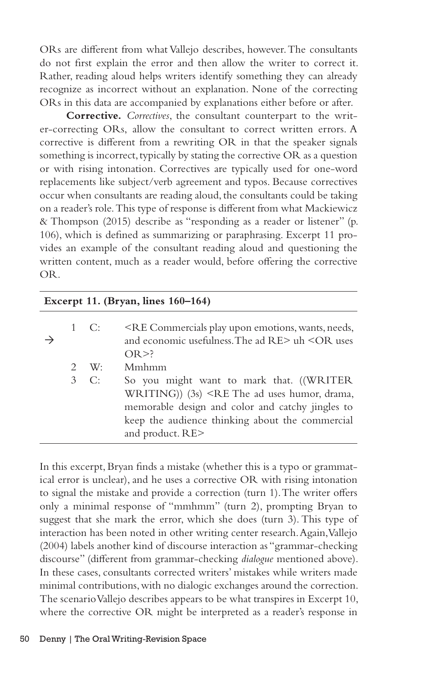ORs are different from what Vallejo describes, however. The consultants do not first explain the error and then allow the writer to correct it. Rather, reading aloud helps writers identify something they can already recognize as incorrect without an explanation. None of the correcting ORs in this data are accompanied by explanations either before or after.

**Corrective.** *Correctives*, the consultant counterpart to the writer-correcting ORs, allow the consultant to correct written errors. A corrective is different from a rewriting OR in that the speaker signals something is incorrect, typically by stating the corrective OR as a question or with rising intonation. Correctives are typically used for one-word replacements like subject/verb agreement and typos. Because correctives occur when consultants are reading aloud, the consultants could be taking on a reader's role. This type of response is different from what Mackiewicz & Thompson (2015) describe as "responding as a reader or listener" (p. 106), which is defined as summarizing or paraphrasing. Excerpt 11 provides an example of the consultant reading aloud and questioning the written content, much as a reader would, before offering the corrective OR.

| Excerpt 11. (Bryan, lines 160-164) |  |               |                                                                                                                                                                                                                                                |  |  |  |
|------------------------------------|--|---------------|------------------------------------------------------------------------------------------------------------------------------------------------------------------------------------------------------------------------------------------------|--|--|--|
|                                    |  | 1 C:          | <re commercials="" emotions,="" needs,<br="" play="" upon="" wants,="">and economic usefulness. The ad <math>RE&gt;</math> uh <math>\leq</math>OR uses<br/><math>OR \geq ?</math></re>                                                         |  |  |  |
|                                    |  | $2 \quad W:$  | Mmhmm                                                                                                                                                                                                                                          |  |  |  |
|                                    |  | $3 \quad C$ : | So you might want to mark that. ((WRITER<br>WRITING)) $(3s)$ <re ad="" drama,<br="" humor,="" the="" uses="">memorable design and color and catchy jingles to<br/>keep the audience thinking about the commercial<br/>and product. RE&gt;</re> |  |  |  |

In this excerpt, Bryan finds a mistake (whether this is a typo or grammatical error is unclear), and he uses a corrective OR with rising intonation to signal the mistake and provide a correction (turn 1). The writer offers only a minimal response of "mmhmm" (turn 2), prompting Bryan to suggest that she mark the error, which she does (turn 3). This type of interaction has been noted in other writing center research. Again, Vallejo (2004) labels another kind of discourse interaction as "grammar-checking discourse" (different from grammar-checking *dialogue* mentioned above). In these cases, consultants corrected writers' mistakes while writers made minimal contributions, with no dialogic exchanges around the correction. The scenario Vallejo describes appears to be what transpires in Excerpt 10, where the corrective OR might be interpreted as a reader's response in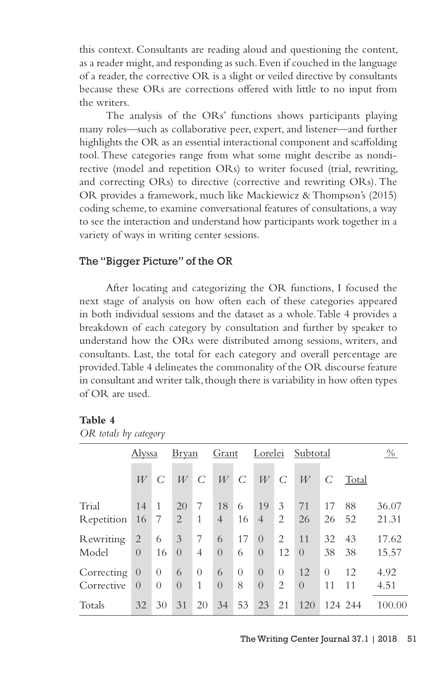this context. Consultants are reading aloud and questioning the content, as a reader might, and responding as such. Even if couched in the language of a reader, the corrective OR is a slight or veiled directive by consultants because these ORs are corrections offered with little to no input from the writers.

The analysis of the ORs' functions shows participants playing many roles—such as collaborative peer, expert, and listener—and further highlights the OR as an essential interactional component and scaffolding tool. These categories range from what some might describe as nondirective (model and repetition ORs) to writer focused (trial, rewriting, and correcting ORs) to directive (corrective and rewriting ORs). The OR provides a framework, much like Mackiewicz & Thompson's (2015) coding scheme, to examine conversational features of consultations, a way to see the interaction and understand how participants work together in a variety of ways in writing center sessions.

## The "Bigger Picture" of the OR

After locating and categorizing the OR functions, I focused the next stage of analysis on how often each of these categories appeared in both individual sessions and the dataset as a whole. Table 4 provides a breakdown of each category by consultation and further by speaker to understand how the ORs were distributed among sessions, writers, and consultants. Last, the total for each category and overall percentage are provided. Table 4 delineates the commonality of the OR discourse feature in consultant and writer talk, though there is variability in how often types of OR are used.

#### **Table 4**

|  |  |  | OR totals by category |
|--|--|--|-----------------------|
|--|--|--|-----------------------|

|            | Alyssa           |                | <u>Bryan</u> |          | Grant          |          | Lorelei        |                | Subtotal |          |       | $\%$   |
|------------|------------------|----------------|--------------|----------|----------------|----------|----------------|----------------|----------|----------|-------|--------|
|            | W                | C              | W            | C        | W              | C        | W              | C              | W        | C        | Total |        |
| Trial      | 14               | 1              | 20           | 7        | 18             | 6        | 19             | 3              | 71       | 17       | 88    | 36.07  |
| Repetition | 16               | 7              | 2            | 1        | $\overline{4}$ | 16       | $\overline{4}$ | 2              | 26       | 26       | 52    | 21.31  |
| Rewriting  | 2                | 6              | 3            | 7        | 6              | 17       | $\Omega$       | 2              | 11       | 32       | 43    | 17.62  |
| Model      | $\Omega$         | 16             | $\Omega$     | 4        | $\Omega$       | 6        | $\Omega$       | 12             | $\Omega$ | 38       | 38    | 15.57  |
| Correcting | $\left( \right)$ | $\overline{0}$ | 6            | $\Omega$ | 6              | $\Omega$ | $\Omega$       | $\Omega$       | 12       | $\Omega$ | 12    | 4.92   |
| Corrective | $\Omega$         | $\theta$       | $\Omega$     | 1        | $\Omega$       | 8        | $\left($       | $\overline{2}$ | $\Omega$ | 11       | 11    | 4.51   |
| Totals     | 32               | 30             | 31           | 20       | 34             | 53       | 23             | 21             | 120      | 124      | 244   | 100.00 |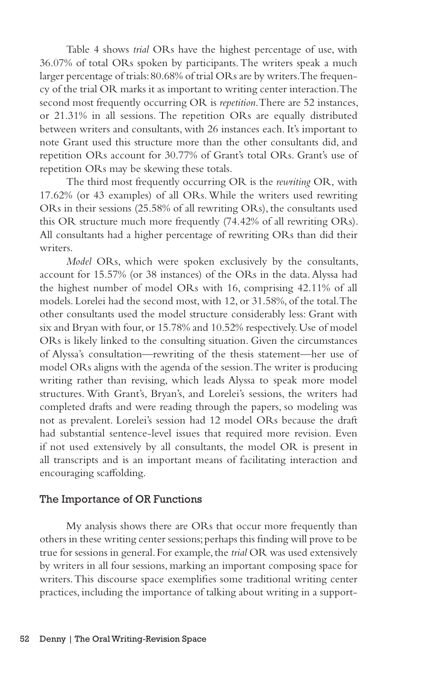Table 4 shows *trial* ORs have the highest percentage of use, with 36.07% of total ORs spoken by participants. The writers speak a much larger percentage of trials: 80.68% of trial ORs are by writers. The frequency of the trial OR marks it as important to writing center interaction. The second most frequently occurring OR is *repetition*. There are 52 instances, or 21.31% in all sessions. The repetition ORs are equally distributed between writers and consultants, with 26 instances each. It's important to note Grant used this structure more than the other consultants did, and repetition ORs account for 30.77% of Grant's total ORs. Grant's use of repetition ORs may be skewing these totals.

The third most frequently occurring OR is the *rewriting* OR, with 17.62% (or 43 examples) of all ORs. While the writers used rewriting ORs in their sessions (25.58% of all rewriting ORs), the consultants used this OR structure much more frequently (74.42% of all rewriting ORs). All consultants had a higher percentage of rewriting ORs than did their writers.

*Model* ORs, which were spoken exclusively by the consultants, account for 15.57% (or 38 instances) of the ORs in the data. Alyssa had the highest number of model ORs with 16, comprising 42.11% of all models. Lorelei had the second most, with 12, or 31.58%, of the total. The other consultants used the model structure considerably less: Grant with six and Bryan with four, or 15.78% and 10.52% respectively. Use of model ORs is likely linked to the consulting situation. Given the circumstances of Alyssa's consultation—rewriting of the thesis statement—her use of model ORs aligns with the agenda of the session. The writer is producing writing rather than revising, which leads Alyssa to speak more model structures. With Grant's, Bryan's, and Lorelei's sessions, the writers had completed drafts and were reading through the papers, so modeling was not as prevalent. Lorelei's session had 12 model ORs because the draft had substantial sentence-level issues that required more revision. Even if not used extensively by all consultants, the model OR is present in all transcripts and is an important means of facilitating interaction and encouraging scaffolding.

#### The Importance of OR Functions

My analysis shows there are ORs that occur more frequently than others in these writing center sessions; perhaps this finding will prove to be true for sessions in general. For example, the *trial* OR was used extensively by writers in all four sessions, marking an important composing space for writers. This discourse space exemplifies some traditional writing center practices, including the importance of talking about writing in a support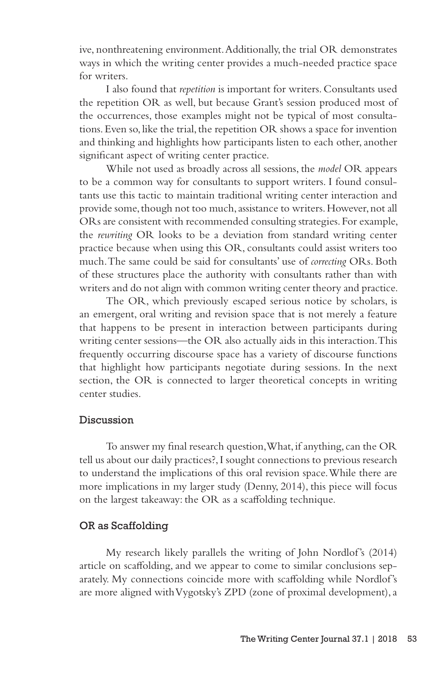ive, nonthreatening environment. Additionally, the trial OR demonstrates ways in which the writing center provides a much-needed practice space for writers.

I also found that *repetition* is important for writers. Consultants used the repetition OR as well, but because Grant's session produced most of the occurrences, those examples might not be typical of most consultations. Even so, like the trial, the repetition OR shows a space for invention and thinking and highlights how participants listen to each other, another significant aspect of writing center practice.

While not used as broadly across all sessions, the *model* OR appears to be a common way for consultants to support writers. I found consultants use this tactic to maintain traditional writing center interaction and provide some, though not too much, assistance to writers. However, not all ORs are consistent with recommended consulting strategies. For example, the *rewriting* OR looks to be a deviation from standard writing center practice because when using this OR, consultants could assist writers too much. The same could be said for consultants' use of *correcting* ORs. Both of these structures place the authority with consultants rather than with writers and do not align with common writing center theory and practice.

The OR, which previously escaped serious notice by scholars, is an emergent, oral writing and revision space that is not merely a feature that happens to be present in interaction between participants during writing center sessions—the OR also actually aids in this interaction. This frequently occurring discourse space has a variety of discourse functions that highlight how participants negotiate during sessions. In the next section, the OR is connected to larger theoretical concepts in writing center studies.

## Discussion

To answer my final research question, What, if anything, can the OR tell us about our daily practices?, I sought connections to previous research to understand the implications of this oral revision space. While there are more implications in my larger study (Denny, 2014), this piece will focus on the largest takeaway: the OR as a scaffolding technique.

#### OR as Scaffolding

My research likely parallels the writing of John Nordlof's (2014) article on scaffolding, and we appear to come to similar conclusions separately. My connections coincide more with scaffolding while Nordlof's are more aligned with Vygotsky's ZPD (zone of proximal development), a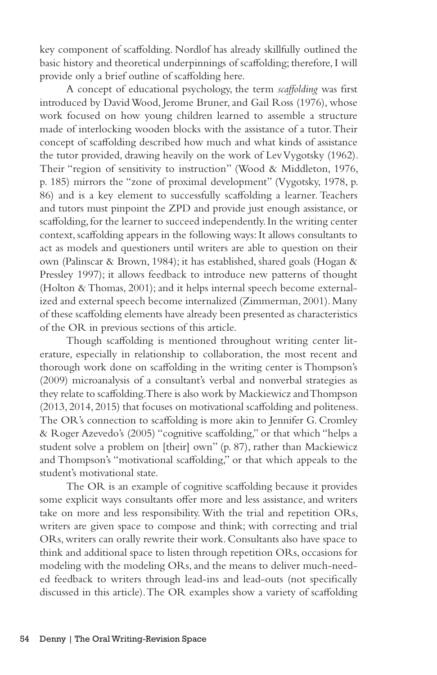key component of scaffolding. Nordlof has already skillfully outlined the basic history and theoretical underpinnings of scaffolding; therefore, I will provide only a brief outline of scaffolding here.

A concept of educational psychology, the term *scaffolding* was first introduced by David Wood, Jerome Bruner, and Gail Ross (1976), whose work focused on how young children learned to assemble a structure made of interlocking wooden blocks with the assistance of a tutor. Their concept of scaffolding described how much and what kinds of assistance the tutor provided, drawing heavily on the work of Lev Vygotsky (1962). Their "region of sensitivity to instruction" (Wood & Middleton, 1976, p. 185) mirrors the "zone of proximal development" (Vygotsky, 1978, p. 86) and is a key element to successfully scaffolding a learner. Teachers and tutors must pinpoint the ZPD and provide just enough assistance, or scaffolding, for the learner to succeed independently. In the writing center context, scaffolding appears in the following ways: It allows consultants to act as models and questioners until writers are able to question on their own (Palinscar & Brown, 1984); it has established, shared goals (Hogan & Pressley 1997); it allows feedback to introduce new patterns of thought (Holton & Thomas, 2001); and it helps internal speech become externalized and external speech become internalized (Zimmerman, 2001). Many of these scaffolding elements have already been presented as characteristics of the OR in previous sections of this article.

Though scaffolding is mentioned throughout writing center literature, especially in relationship to collaboration, the most recent and thorough work done on scaffolding in the writing center is Thompson's (2009) microanalysis of a consultant's verbal and nonverbal strategies as they relate to scaffolding. There is also work by Mackiewicz and Thompson (2013, 2014, 2015) that focuses on motivational scaffolding and politeness. The OR's connection to scaffolding is more akin to Jennifer G. Cromley & Roger Azevedo's (2005) "cognitive scaffolding," or that which "helps a student solve a problem on [their] own" (p. 87), rather than Mackiewicz and Thompson's "motivational scaffolding," or that which appeals to the student's motivational state.

The OR is an example of cognitive scaffolding because it provides some explicit ways consultants offer more and less assistance, and writers take on more and less responsibility. With the trial and repetition ORs, writers are given space to compose and think; with correcting and trial ORs, writers can orally rewrite their work. Consultants also have space to think and additional space to listen through repetition ORs, occasions for modeling with the modeling ORs, and the means to deliver much-needed feedback to writers through lead-ins and lead-outs (not specifically discussed in this article). The OR examples show a variety of scaffolding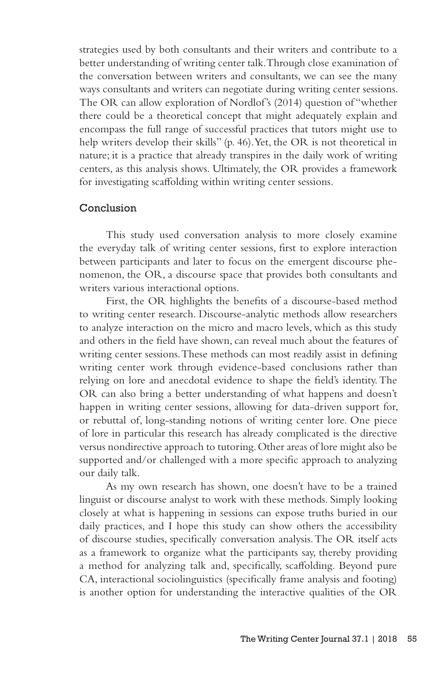strategies used by both consultants and their writers and contribute to a better understanding of writing center talk. Through close examination of the conversation between writers and consultants, we can see the many ways consultants and writers can negotiate during writing center sessions. The OR can allow exploration of Nordlof's (2014) question of "whether there could be a theoretical concept that might adequately explain and encompass the full range of successful practices that tutors might use to help writers develop their skills" (p. 46). Yet, the OR is not theoretical in nature; it is a practice that already transpires in the daily work of writing centers, as this analysis shows. Ultimately, the OR provides a framework for investigating scaffolding within writing center sessions.

## Conclusion

This study used conversation analysis to more closely examine the everyday talk of writing center sessions, first to explore interaction between participants and later to focus on the emergent discourse phenomenon, the OR, a discourse space that provides both consultants and writers various interactional options.

First, the OR highlights the benefits of a discourse-based method to writing center research. Discourse-analytic methods allow researchers to analyze interaction on the micro and macro levels, which as this study and others in the field have shown, can reveal much about the features of writing center sessions. These methods can most readily assist in defining writing center work through evidence-based conclusions rather than relying on lore and anecdotal evidence to shape the field's identity. The OR can also bring a better understanding of what happens and doesn't happen in writing center sessions, allowing for data-driven support for, or rebuttal of, long-standing notions of writing center lore. One piece of lore in particular this research has already complicated is the directive versus nondirective approach to tutoring. Other areas of lore might also be supported and/or challenged with a more specific approach to analyzing our daily talk.

As my own research has shown, one doesn't have to be a trained linguist or discourse analyst to work with these methods. Simply looking closely at what is happening in sessions can expose truths buried in our daily practices, and I hope this study can show others the accessibility of discourse studies, specifically conversation analysis. The OR itself acts as a framework to organize what the participants say, thereby providing a method for analyzing talk and, specifically, scaffolding. Beyond pure CA, interactional sociolinguistics (specifically frame analysis and footing) is another option for understanding the interactive qualities of the OR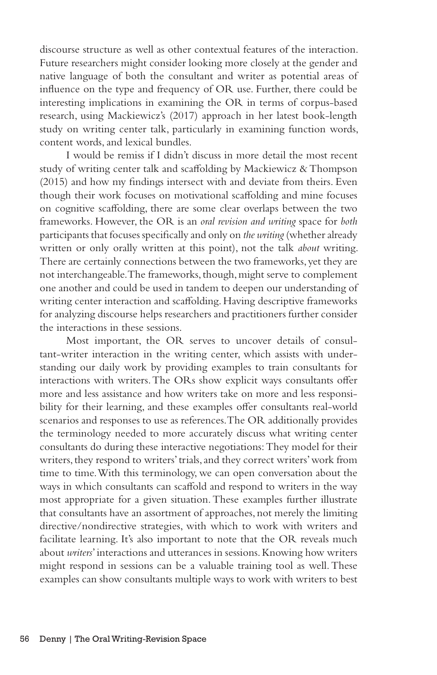discourse structure as well as other contextual features of the interaction. Future researchers might consider looking more closely at the gender and native language of both the consultant and writer as potential areas of influence on the type and frequency of OR use. Further, there could be interesting implications in examining the OR in terms of corpus-based research, using Mackiewicz's (2017) approach in her latest book-length study on writing center talk, particularly in examining function words, content words, and lexical bundles.

I would be remiss if I didn't discuss in more detail the most recent study of writing center talk and scaffolding by Mackiewicz & Thompson (2015) and how my findings intersect with and deviate from theirs. Even though their work focuses on motivational scaffolding and mine focuses on cognitive scaffolding, there are some clear overlaps between the two frameworks. However, the OR is an *oral revision and writing* space for *both*  participants that focuses specifically and only on *the writing* (whether already written or only orally written at this point), not the talk *about* writing. There are certainly connections between the two frameworks, yet they are not interchangeable. The frameworks, though, might serve to complement one another and could be used in tandem to deepen our understanding of writing center interaction and scaffolding. Having descriptive frameworks for analyzing discourse helps researchers and practitioners further consider the interactions in these sessions.

Most important, the OR serves to uncover details of consultant-writer interaction in the writing center, which assists with understanding our daily work by providing examples to train consultants for interactions with writers. The ORs show explicit ways consultants offer more and less assistance and how writers take on more and less responsibility for their learning, and these examples offer consultants real-world scenarios and responses to use as references. The OR additionally provides the terminology needed to more accurately discuss what writing center consultants do during these interactive negotiations: They model for their writers, they respond to writers' trials, and they correct writers' work from time to time. With this terminology, we can open conversation about the ways in which consultants can scaffold and respond to writers in the way most appropriate for a given situation. These examples further illustrate that consultants have an assortment of approaches, not merely the limiting directive/nondirective strategies, with which to work with writers and facilitate learning. It's also important to note that the OR reveals much about *writers*' interactions and utterances in sessions. Knowing how writers might respond in sessions can be a valuable training tool as well. These examples can show consultants multiple ways to work with writers to best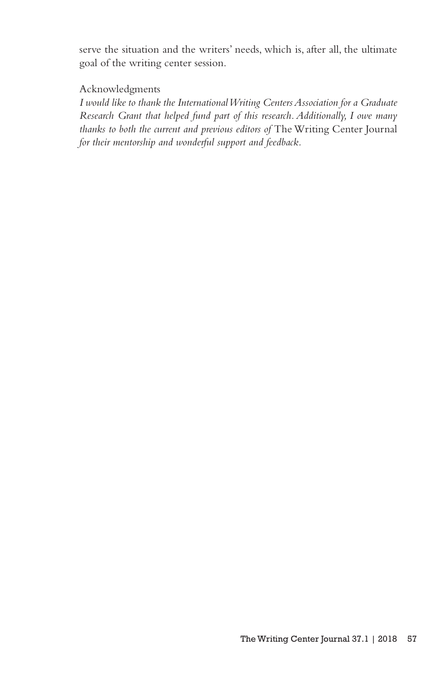serve the situation and the writers' needs, which is, after all, the ultimate goal of the writing center session.

# Acknowledgments

*I would like to thank the International Writing Centers Association for a Graduate Research Grant that helped fund part of this research. Additionally, I owe many thanks to both the current and previous editors of* The Writing Center Journal *for their mentorship and wonderful support and feedback.*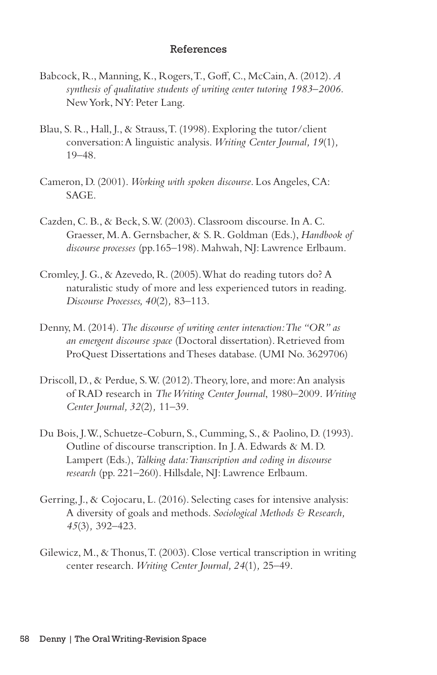#### References

- Babcock, R., Manning, K., Rogers, T., Goff, C., McCain, A. (2012). *A synthesis of qualitative students of writing center tutoring 1983–2006.* New York, NY: Peter Lang.
- Blau, S. R., Hall, J., & Strauss, T. (1998). Exploring the tutor/client conversation: A linguistic analysis. *Writing Center Journal, 19*(1)*,* 19–48.
- Cameron, D. (2001). *Working with spoken discourse*. Los Angeles, CA: SAGE.
- Cazden, C. B., & Beck, S. W. (2003). Classroom discourse. In A. C. Graesser, M. A. Gernsbacher, & S. R. Goldman (Eds.), *Handbook of discourse processes* (pp.165–198). Mahwah, NJ: Lawrence Erlbaum.
- Cromley, J. G., & Azevedo, R. (2005). What do reading tutors do? A naturalistic study of more and less experienced tutors in reading. *Discourse Processes, 40*(2)*,* 83–113.
- Denny, M. (2014). *The discourse of writing center interaction: The "OR" as an emergent discourse space* (Doctoral dissertation). Retrieved from ProQuest Dissertations and Theses database. (UMI No. 3629706)
- Driscoll, D., & Perdue, S. W. (2012). Theory, lore, and more: An analysis of RAD research in *The Writing Center Journal*, 1980–2009. *Writing Center Journal, 32*(2)*,* 11–39.
- Du Bois, J. W., Schuetze-Coburn, S., Cumming, S., & Paolino, D. (1993). Outline of discourse transcription. In J. A. Edwards & M. D. Lampert (Eds.), *Talking data: Transcription and coding in discourse research* (pp. 221–260). Hillsdale, NJ: Lawrence Erlbaum.
- Gerring, J., & Cojocaru, L. (2016). Selecting cases for intensive analysis: A diversity of goals and methods. *Sociological Methods & Research, 45*(3)*,* 392–423.
- Gilewicz, M., & Thonus, T. (2003). Close vertical transcription in writing center research. *Writing Center Journal, 24*(1)*,* 25–49.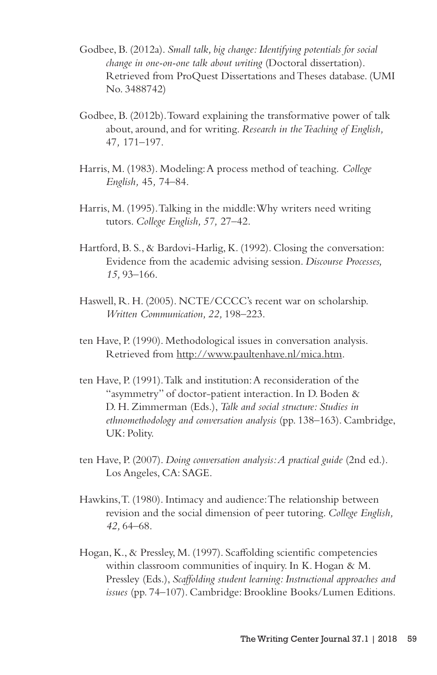- Godbee, B. (2012a). *Small talk, big change: Identifying potentials for social change in one-on-one talk about writing* (Doctoral dissertation). Retrieved from ProQuest Dissertations and Theses database. (UMI No. 3488742)
- Godbee, B. (2012b). Toward explaining the transformative power of talk about, around, and for writing. *Research in the Teaching of English,*  47*,* 171–197.
- Harris, M. (1983). Modeling: A process method of teaching. *College English,* 45*,* 74–84.
- Harris, M. (1995). Talking in the middle: Why writers need writing tutors. *College English, 57,* 27–42.
- Hartford, B. S., & Bardovi-Harlig, K. (1992). Closing the conversation: Evidence from the academic advising session. *Discourse Processes, 15,* 93–166.
- Haswell, R. H. (2005). NCTE/CCCC's recent war on scholarship. *Written Communication, 22,* 198–223.
- ten Have, P. (1990). Methodological issues in conversation analysis. Retrieved from http://www.paultenhave.nl/mica.htm.
- ten Have, P. (1991). Talk and institution: A reconsideration of the "asymmetry" of doctor-patient interaction. In D. Boden & D. H. Zimmerman (Eds.), *Talk and social structure: Studies in ethnomethodology and conversation analysis* (pp. 138–163). Cambridge, UK: Polity.
- ten Have, P. (2007). *Doing conversation analysis: A practical guide* (2nd ed.). Los Angeles, CA: SAGE.
- Hawkins, T. (1980). Intimacy and audience: The relationship between revision and the social dimension of peer tutoring. *College English, 42,* 64–68.
- Hogan, K., & Pressley, M. (1997). Scaffolding scientific competencies within classroom communities of inquiry. In K. Hogan & M. Pressley (Eds.), *Scaffolding student learning: Instructional approaches and issues* (pp. 74–107). Cambridge: Brookline Books/Lumen Editions.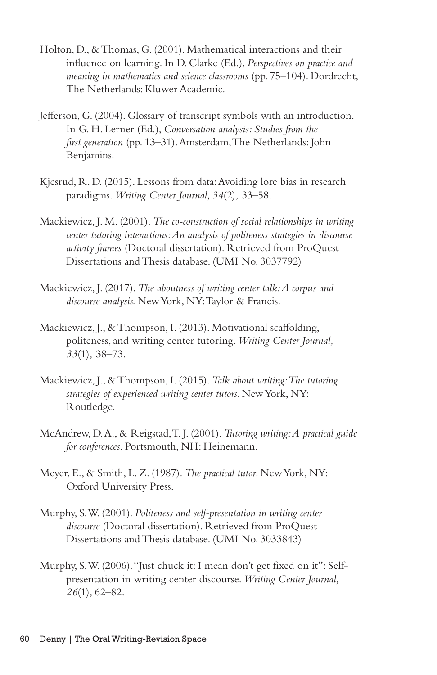- Holton, D., & Thomas, G. (2001). Mathematical interactions and their influence on learning. In D. Clarke (Ed.), *Perspectives on practice and meaning in mathematics and science classrooms* (pp. 75–104). Dordrecht, The Netherlands: Kluwer Academic.
- Jefferson, G. (2004). Glossary of transcript symbols with an introduction. In G. H. Lerner (Ed.), *Conversation analysis: Studies from the first generation* (pp. 13–31). Amsterdam, The Netherlands: John Benjamins.
- Kjesrud, R. D. (2015). Lessons from data: Avoiding lore bias in research paradigms. *Writing Center Journal, 34*(2)*,* 33–58.
- Mackiewicz, J. M. (2001). *The co-construction of social relationships in writing center tutoring interactions: An analysis of politeness strategies in discourse activity frames* (Doctoral dissertation). Retrieved from ProQuest Dissertations and Thesis database. (UMI No. 3037792)
- Mackiewicz, J. (2017). *The aboutness of writing center talk: A corpus and discourse analysis.* New York, NY: Taylor & Francis.
- Mackiewicz, J., & Thompson, I. (2013). Motivational scaffolding, politeness, and writing center tutoring. *Writing Center Journal, 33*(1)*,* 38–73.
- Mackiewicz, J., & Thompson, I. (2015). *Talk about writing: The tutoring strategies of experienced writing center tutors.* New York, NY: Routledge.
- McAndrew, D. A., & Reigstad, T. J. (2001). *Tutoring writing: A practical guide for conferences*. Portsmouth, NH: Heinemann.
- Meyer, E., & Smith, L. Z. (1987). *The practical tutor*. New York, NY: Oxford University Press.
- Murphy, S. W. (2001). *Politeness and self-presentation in writing center discourse* (Doctoral dissertation). Retrieved from ProQuest Dissertations and Thesis database. (UMI No. 3033843)
- Murphy, S. W. (2006). "Just chuck it: I mean don't get fixed on it": Selfpresentation in writing center discourse. *Writing Center Journal, 26*(1)*,* 62–82.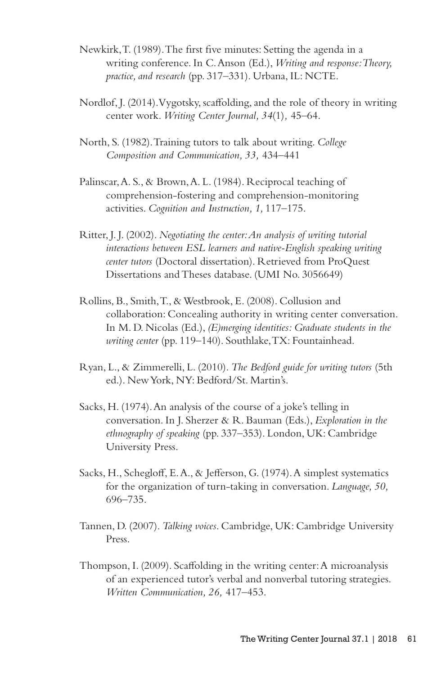- Newkirk, T. (1989). The first five minutes: Setting the agenda in a writing conference. In C. Anson (Ed.), *Writing and response: Theory, practice, and research* (pp. 317–331). Urbana, IL: NCTE.
- Nordlof, J. (2014). Vygotsky, scaffolding, and the role of theory in writing center work. *Writing Center Journal, 34*(1)*,* 45–64.
- North, S. (1982). Training tutors to talk about writing. *College Composition and Communication, 33,* 434–441
- Palinscar, A. S., & Brown, A. L. (1984). Reciprocal teaching of comprehension-fostering and comprehension-monitoring activities. *Cognition and Instruction, 1,* 117–175.
- Ritter, J. J. (2002). *Negotiating the center: An analysis of writing tutorial interactions between ESL learners and native-English speaking writing center tutors* (Doctoral dissertation). Retrieved from ProQuest Dissertations and Theses database. (UMI No. 3056649)
- Rollins, B., Smith, T., & Westbrook, E. (2008). Collusion and collaboration: Concealing authority in writing center conversation. In M. D. Nicolas (Ed.), *(E)merging identities: Graduate students in the writing center* (pp. 119–140). Southlake, TX: Fountainhead.
- Ryan, L., & Zimmerelli, L. (2010). *The Bedford guide for writing tutors* (5th ed.). New York, NY: Bedford/St. Martin's.
- Sacks, H. (1974). An analysis of the course of a joke's telling in conversation. In J. Sherzer & R. Bauman (Eds.), *Exploration in the ethnography of speaking* (pp. 337–353). London, UK: Cambridge University Press.
- Sacks, H., Schegloff, E. A., & Jefferson, G. (1974). A simplest systematics for the organization of turn-taking in conversation. *Language, 50,*  696–735.
- Tannen, D. (2007). *Talking voices*. Cambridge, UK: Cambridge University Press.
- Thompson, I. (2009). Scaffolding in the writing center: A microanalysis of an experienced tutor's verbal and nonverbal tutoring strategies. *Written Communication, 26,* 417–453.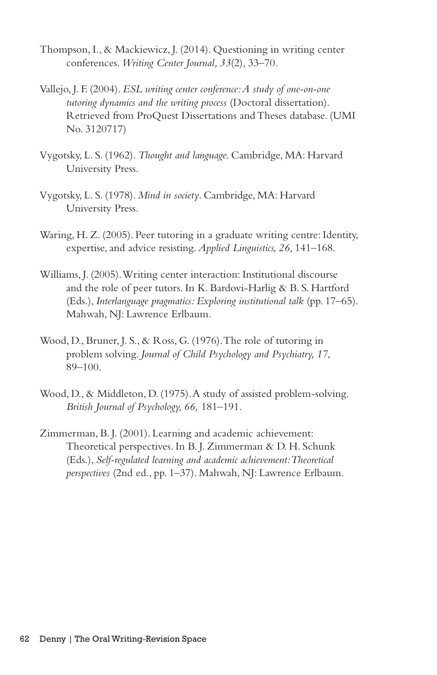- Thompson, I., & Mackiewicz, J. (2014). Questioning in writing center conferences. *Writing Center Journal, 33*(2)*,* 33–70.
- Vallejo, J. F. (2004). *ESL writing center conference: A study of one-on-one tutoring dynamics and the writing process* (Doctoral dissertation). Retrieved from ProQuest Dissertations and Theses database. (UMI No. 3120717)
- Vygotsky, L. S. (1962). *Thought and language*. Cambridge, MA: Harvard University Press.
- Vygotsky, L. S. (1978). *Mind in society*. Cambridge, MA: Harvard University Press.
- Waring, H. Z. (2005). Peer tutoring in a graduate writing centre: Identity, expertise, and advice resisting. *Applied Linguistics, 26,* 141–168.
- Williams, J. (2005). Writing center interaction: Institutional discourse and the role of peer tutors. In K. Bardovi-Harlig & B. S. Hartford (Eds.), *Interlanguage pragmatics: Exploring institutional talk* (pp. 17–65). Mahwah, NJ: Lawrence Erlbaum.
- Wood, D., Bruner, J. S., & Ross, G. (1976). The role of tutoring in problem solving. *Journal of Child Psychology and Psychiatry, 17*, 89–100.
- Wood, D., & Middleton, D. (1975). A study of assisted problem-solving. *British Journal of Psychology, 66,* 181–191.
- Zimmerman, B. J. (2001). Learning and academic achievement: Theoretical perspectives. In B. J. Zimmerman & D. H. Schunk (Eds.), *Self-regulated learning and academic achievement: Theoretical perspectives* (2nd ed., pp. 1–37). Mahwah, NJ: Lawrence Erlbaum.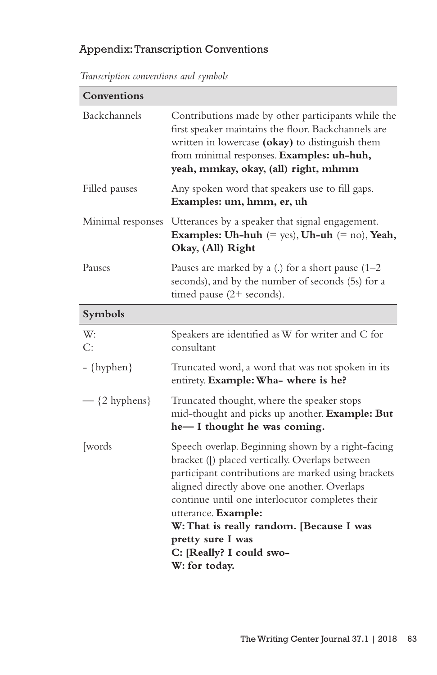# Appendix: Transcription Conventions

*Transcription conventions and symbols*

| Conventions       |                                                                                                                                                                                                                                                                                                                                                                                                     |
|-------------------|-----------------------------------------------------------------------------------------------------------------------------------------------------------------------------------------------------------------------------------------------------------------------------------------------------------------------------------------------------------------------------------------------------|
| Backchannels      | Contributions made by other participants while the<br>first speaker maintains the floor. Backchannels are<br>written in lowercase (okay) to distinguish them<br>from minimal responses. Examples: uh-huh,<br>yeah, mmkay, okay, (all) right, mhmm                                                                                                                                                   |
| Filled pauses     | Any spoken word that speakers use to fill gaps.<br>Examples: um, hmm, er, uh                                                                                                                                                                                                                                                                                                                        |
| Minimal responses | Utterances by a speaker that signal engagement.<br>Examples: Uh-huh $(= \text{yes})$ , Uh-uh $(= \text{no})$ , Yeah,<br>Okay, (All) Right                                                                                                                                                                                                                                                           |
| Pauses            | Pauses are marked by a (.) for a short pause $(1-2)$<br>seconds), and by the number of seconds (5s) for a<br>timed pause (2+ seconds).                                                                                                                                                                                                                                                              |
| Symbols           |                                                                                                                                                                                                                                                                                                                                                                                                     |
| W:<br>C:          | Speakers are identified as W for writer and C for<br>consultant                                                                                                                                                                                                                                                                                                                                     |
| - {hyphen}        | Truncated word, a word that was not spoken in its<br>entirety. Example: Wha- where is he?                                                                                                                                                                                                                                                                                                           |
| $-$ {2 hyphens}   | Truncated thought, where the speaker stops<br>mid-thought and picks up another. Example: But<br>he-I thought he was coming.                                                                                                                                                                                                                                                                         |
| [words]           | Speech overlap. Beginning shown by a right-facing<br>bracket ([) placed vertically. Overlaps between<br>participant contributions are marked using brackets<br>aligned directly above one another. Overlaps<br>continue until one interlocutor completes their<br>utterance. Example:<br>W: That is really random. [Because I was<br>pretty sure I was<br>C: [Really? I could swo-<br>W: for today. |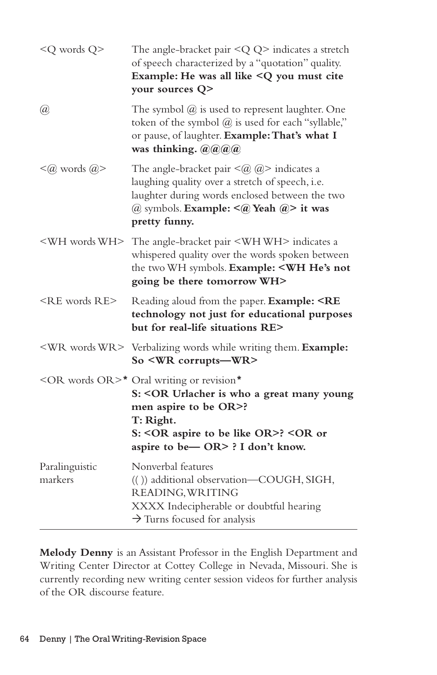| <q q="" words=""></q>       | The angle-bracket pair $\langle Q \rangle$ indicates a stretch<br>of speech characterized by a "quotation" quality.<br>Example: He was all like <q cite<br="" must="" you="">your sources Q&gt;</q>                                          |
|-----------------------------|----------------------------------------------------------------------------------------------------------------------------------------------------------------------------------------------------------------------------------------------|
| $\left(\overline{a}\right)$ | The symbol $@$ is used to represent laughter. One<br>token of the symbol @ is used for each "syllable,"<br>or pause, of laughter. Example: That's what I<br>was thinking. @@@@                                                               |
| $\leq$ @ words @>           | The angle-bracket pair $\leq$ @ $\geq$ indicates a<br>laughing quality over a stretch of speech, i.e.<br>laughter during words enclosed between the two<br>@ symbols. Example: $\leq$ (@) Yeah (@)> it was<br>pretty funny.                  |
| <wh wh="" words=""></wh>    | The angle-bracket pair <whwh> indicates a<br/>whispered quality over the words spoken between<br/>the two WH symbols. Example: <wh he's="" not<br="">going be there tomorrow WH&gt;</wh></whwh>                                              |
| $<$ RE words RE $>$         | Reading aloud from the paper. Example: <re<br>technology not just for educational purposes<br/>but for real-life situations RE&gt;</re<br>                                                                                                   |
|                             | <wr words="" wr=""> Verbalizing words while writing them. Example:<br/>So <wr corrupts-wr=""></wr></wr>                                                                                                                                      |
|                             | <or or="" words="">* Oral writing or revision*<br/>S: &lt; OR Urlacher is who a great many young<br/>men aspire to be OR&gt;?<br/>T: Right.<br/>S: &lt; OR aspire to be like OR&gt;? &lt; OR or<br/>aspire to be-OR&gt; ? I don't know.</or> |
| Paralinguistic<br>markers   | Nonverbal features<br>(()) additional observation-COUGH, SIGH,<br>READING, WRITING<br>XXXX Indecipherable or doubtful hearing<br>$\rightarrow$ Turns focused for analysis                                                                    |

**Melody Denny** is an Assistant Professor in the English Department and Writing Center Director at Cottey College in Nevada, Missouri. She is currently recording new writing center session videos for further analysis of the OR discourse feature.